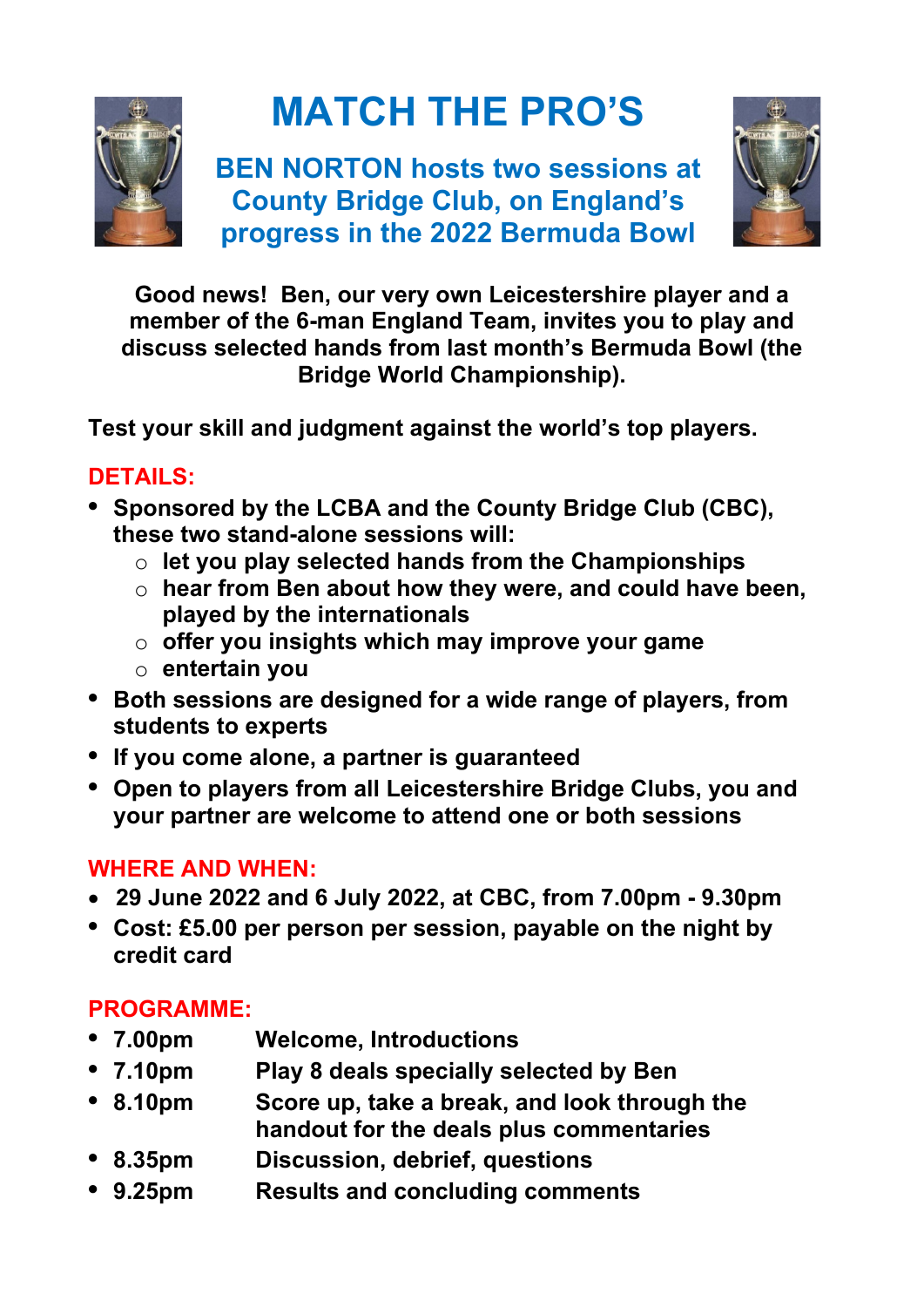

# **MATCH THE PRO'S**

**BEN NORTON hosts two sessions at County Bridge Club, on England's progress in the 2022 Bermuda Bowl**



**Good news! Ben, our very own Leicestershire player and a member of the 6-man England Team, invites you to play and discuss selected hands from last month's Bermuda Bowl (the Bridge World Championship).**

**Test your skill and judgment against the world's top players.**

## **DETAILS:**

- **• Sponsored by the LCBA and the County Bridge Club (CBC), these two stand-alone sessions will:**
	- o **let you play selected hands from the Championships**
	- o **hear from Ben about how they were, and could have been, played by the internationals**
	- o **offer you insights which may improve your game**
	- o **entertain you**
- **• Both sessions are designed for a wide range of players, from students to experts**
- **• If you come alone, a partner is guaranteed**
- **• Open to players from all Leicestershire Bridge Clubs, you and your partner are welcome to attend one or both sessions**

### **WHERE AND WHEN:**

- **29 June 2022 and 6 July 2022, at CBC, from 7.00pm - 9.30pm**
- **• Cost: £5.00 per person per session, payable on the night by credit card**

# **PROGRAMME:**

- **• 7.00pm Welcome, Introductions**
- **• 7.10pm Play 8 deals specially selected by Ben**
- **• 8.10pm Score up, take a break, and look through the handout for the deals plus commentaries**
- **• 8.35pm Discussion, debrief, questions**
- **• 9.25pm Results and concluding comments**